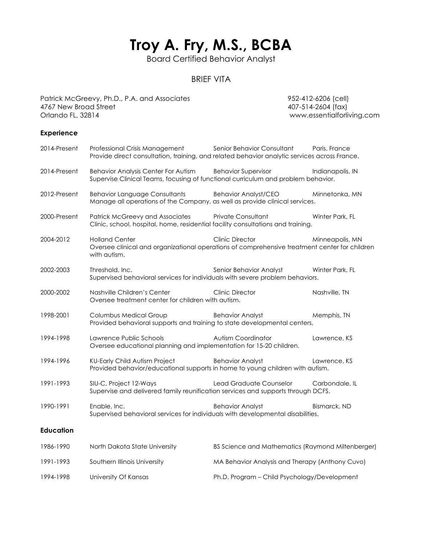# **Troy A. Fry, M.S., BCBA**

Board Certified Behavior Analyst

## BRIEF VITA

Patrick McGreevy, Ph.D., P.A. and Associates 952-412-6206 (cell) 4767 New Broad Street 407-514-2604 (fax) Orlando FL, 32814 www.essentialforliving.com

### **Experience**

| 2014-Present     | Professional Crisis Management<br>Provide direct consultation, training, and related behavior analytic services across France.         | Senior Behavior Consultant                        | Paris, France    |
|------------------|----------------------------------------------------------------------------------------------------------------------------------------|---------------------------------------------------|------------------|
| 2014-Present     | <b>Behavior Analysis Center For Autism</b><br>Supervise Clinical Teams, focusing of functional curriculum and problem behavior.        | <b>Behavior Supervisor</b>                        | Indianapolis, IN |
| 2012-Present     | <b>Behavior Language Consultants</b><br>Manage all operations of the Company, as well as provide clinical services.                    | <b>Behavior Analyst/CEO</b>                       | Minnetonka, MN   |
| 2000-Present     | <b>Patrick McGreevy and Associates</b><br>Clinic, school, hospital, home, residential facility consultations and training.             | Private Consultant                                | Winter Park, FL  |
| 2004-2012        | <b>Holland Center</b><br>Oversee clinical and organizational operations of comprehensive treatment center for children<br>with autism. | <b>Clinic Director</b>                            | Minneapolis, MN  |
| 2002-2003        | Threshold, Inc.<br>Supervised behavioral services for individuals with severe problem behaviors.                                       | Senior Behavior Analyst                           | Winter Park, FL  |
| 2000-2002        | Nashville Children's Center<br>Oversee treatment center for children with autism.                                                      | <b>Clinic Director</b>                            | Nashville, TN    |
| 1998-2001        | <b>Columbus Medical Group</b><br>Provided behavioral supports and training to state developmental centers,                             | <b>Behavior Analyst</b>                           | Memphis, TN      |
| 1994-1998        | Lawrence Public Schools<br>Oversee educational planning and implementation for 15-20 children.                                         | Autism Coordinator                                | Lawrence, KS     |
| 1994-1996        | KU-Early Child Autism Project<br>Provided behavior/educational supports in home to young children with autism.                         | <b>Behavior Analyst</b>                           | Lawrence, KS     |
| 1991-1993        | SIU-C, Project 12-Ways<br>Supervise and delivered family reunification services and supports through DCFS.                             | Lead Graduate Counselor                           | Carbondale, IL   |
| 1990-1991        | Enable, Inc.<br>Supervised behavioral services for individuals with developmental disabilities.                                        | <b>Behavior Analyst</b>                           | Bismarck, ND     |
| <b>Education</b> |                                                                                                                                        |                                                   |                  |
| 1986-1990        | North Dakota State University                                                                                                          | BS Science and Mathematics (Raymond Miltenberger) |                  |
| 1991-1993        | Southern Illinois University                                                                                                           | MA Behavior Analysis and Therapy (Anthony Cuvo)   |                  |
| 1994-1998        | University Of Kansas                                                                                                                   | Ph.D. Program - Child Psychology/Development      |                  |